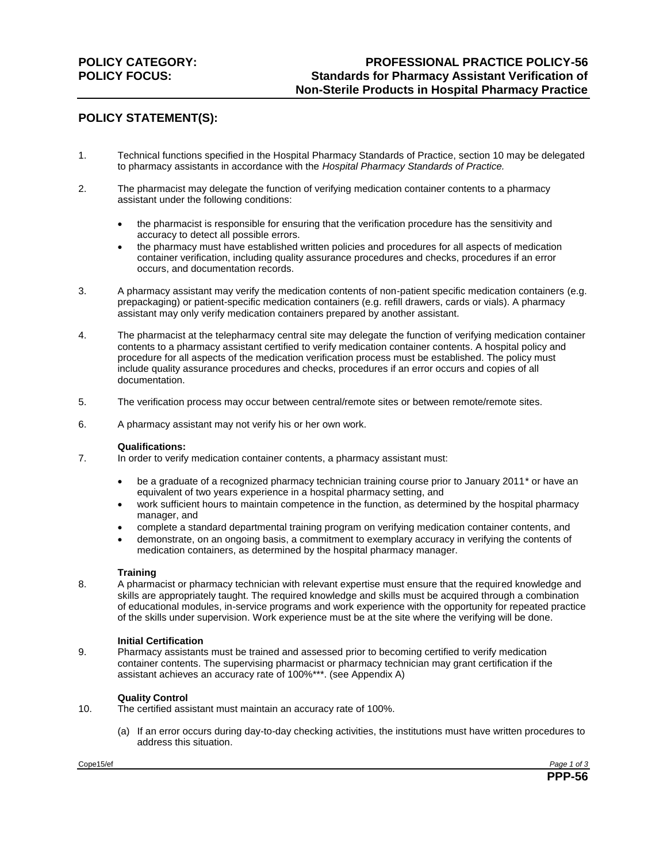# **POLICY STATEMENT(S):**

- 1. Technical functions specified in the Hospital Pharmacy Standards of Practice, section 10 may be delegated to pharmacy assistants in accordance with the *Hospital Pharmacy Standards of Practice.*
- 2. The pharmacist may delegate the function of verifying medication container contents to a pharmacy assistant under the following conditions:
	- the pharmacist is responsible for ensuring that the verification procedure has the sensitivity and accuracy to detect all possible errors.
	- the pharmacy must have established written policies and procedures for all aspects of medication container verification, including quality assurance procedures and checks, procedures if an error occurs, and documentation records.
- 3. A pharmacy assistant may verify the medication contents of non-patient specific medication containers (e.g. prepackaging) or patient-specific medication containers (e.g. refill drawers, cards or vials). A pharmacy assistant may only verify medication containers prepared by another assistant.
- 4. The pharmacist at the telepharmacy central site may delegate the function of verifying medication container contents to a pharmacy assistant certified to verify medication container contents. A hospital policy and procedure for all aspects of the medication verification process must be established. The policy must include quality assurance procedures and checks, procedures if an error occurs and copies of all documentation.
- 5. The verification process may occur between central/remote sites or between remote/remote sites.
- 6. A pharmacy assistant may not verify his or her own work.

## **Qualifications:**

- 7. In order to verify medication container contents, a pharmacy assistant must:
	- be a graduate of a recognized pharmacy technician training course prior to January 2011<sup>\*</sup> or have an equivalent of two years experience in a hospital pharmacy setting, and
	- work sufficient hours to maintain competence in the function, as determined by the hospital pharmacy manager, and
	- complete a standard departmental training program on verifying medication container contents, and
	- demonstrate, on an ongoing basis, a commitment to exemplary accuracy in verifying the contents of medication containers, as determined by the hospital pharmacy manager.

#### **Training**

8. A pharmacist or pharmacy technician with relevant expertise must ensure that the required knowledge and skills are appropriately taught. The required knowledge and skills must be acquired through a combination of educational modules, in-service programs and work experience with the opportunity for repeated practice of the skills under supervision. Work experience must be at the site where the verifying will be done.

## **Initial Certification**

9. Pharmacy assistants must be trained and assessed prior to becoming certified to verify medication container contents. The supervising pharmacist or pharmacy technician may grant certification if the assistant achieves an accuracy rate of 100%\*\*\*. (see Appendix A)

## **Quality Control**

- 10. The certified assistant must maintain an accuracy rate of 100%.
	- (a) If an error occurs during day-to-day checking activities, the institutions must have written procedures to address this situation.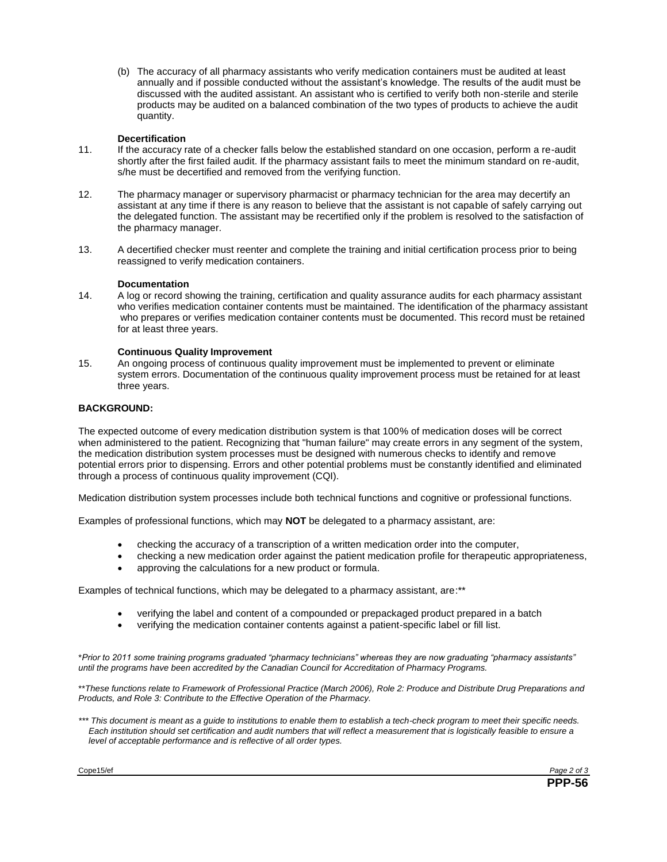(b) The accuracy of all pharmacy assistants who verify medication containers must be audited at least annually and if possible conducted without the assistant's knowledge. The results of the audit must be discussed with the audited assistant. An assistant who is certified to verify both non-sterile and sterile products may be audited on a balanced combination of the two types of products to achieve the audit quantity.

## **Decertification**

- 11. If the accuracy rate of a checker falls below the established standard on one occasion, perform a re-audit shortly after the first failed audit. If the pharmacy assistant fails to meet the minimum standard on re-audit, s/he must be decertified and removed from the verifying function.
- 12. The pharmacy manager or supervisory pharmacist or pharmacy technician for the area may decertify an assistant at any time if there is any reason to believe that the assistant is not capable of safely carrying out the delegated function. The assistant may be recertified only if the problem is resolved to the satisfaction of the pharmacy manager.
- 13. A decertified checker must reenter and complete the training and initial certification process prior to being reassigned to verify medication containers.

#### **Documentation**

14. A log or record showing the training, certification and quality assurance audits for each pharmacy assistant who verifies medication container contents must be maintained. The identification of the pharmacy assistant who prepares or verifies medication container contents must be documented. This record must be retained for at least three years.

### **Continuous Quality Improvement**

15. An ongoing process of continuous quality improvement must be implemented to prevent or eliminate system errors. Documentation of the continuous quality improvement process must be retained for at least three years.

### **BACKGROUND:**

The expected outcome of every medication distribution system is that 100% of medication doses will be correct when administered to the patient. Recognizing that "human failure" may create errors in any segment of the system, the medication distribution system processes must be designed with numerous checks to identify and remove potential errors prior to dispensing. Errors and other potential problems must be constantly identified and eliminated through a process of continuous quality improvement (CQI).

Medication distribution system processes include both technical functions and cognitive or professional functions.

Examples of professional functions, which may **NOT** be delegated to a pharmacy assistant, are:

- checking the accuracy of a transcription of a written medication order into the computer,
- checking a new medication order against the patient medication profile for therapeutic appropriateness,
- approving the calculations for a new product or formula.

Examples of technical functions, which may be delegated to a pharmacy assistant, are:\*\*

- verifying the label and content of a compounded or prepackaged product prepared in a batch
- verifying the medication container contents against a patient-specific label or fill list.

\**Prior to 2011 some training programs graduated "pharmacy technicians" whereas they are now graduating "pharmacy assistants" until the programs have been accredited by the Canadian Council for Accreditation of Pharmacy Programs.*

\*\**These functions relate to Framework of Professional Practice (March 2006), Role 2: Produce and Distribute Drug Preparations and Products, and Role 3: Contribute to the Effective Operation of the Pharmacy.*

\*\*\* This document is meant as a guide to institutions to enable them to establish a tech-check program to meet their specific needs. *Each institution should set certification and audit numbers that will reflect a measurement that is logistically feasible to ensure a level of acceptable performance and is reflective of all order types.*

Cope15/ef *Page 2 of 3*